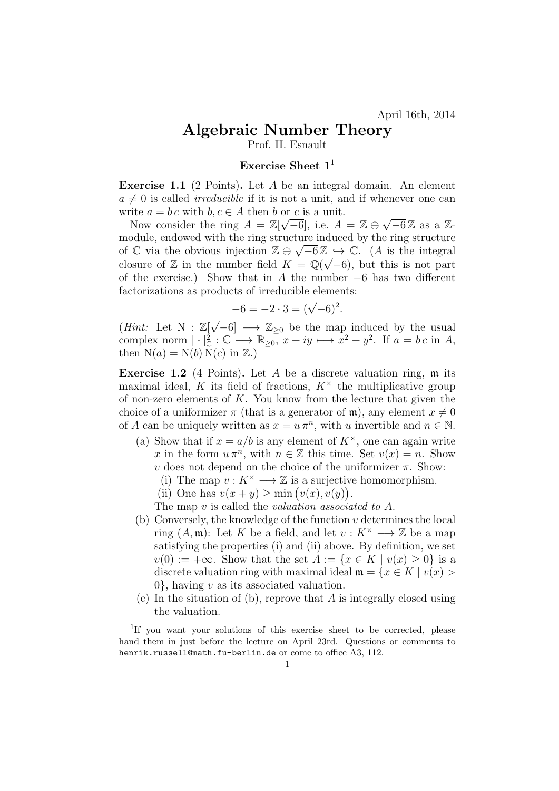## Algebraic Number Theory

Prof. H. Esnault

## Exercise Sheet  $\mathbf{1}^1$

**Exercise 1.1** (2 Points). Let A be an integral domain. An element  $a \neq 0$  is called *irreducible* if it is not a unit, and if whenever one can write  $a = b c$  with  $b, c \in A$  then b or c is a unit.

The  $a = 0$  c with  $b, c \in A$  then b or c is a unit.<br>Now consider the ring  $A = \mathbb{Z}[\sqrt{-6}]$ , i.e.  $A = \mathbb{Z} \oplus \sqrt{-6} \mathbb{Z}$  as a  $\mathbb{Z}$ module, endowed with the ring structure induced by the ring structure of  $\mathbb C$  via the obvious injection  $\mathbb Z \oplus \sqrt{-6}\mathbb Z \hookrightarrow \mathbb C$ . (A is the integral closure of  $\mathbb Z$  in the number field  $K = \mathbb Q(\sqrt{-6})$ , but this is not part of the exercise.) Show that in A the number  $-6$  has two different factorizations as products of irreducible elements:

$$
-6 = -2 \cdot 3 = (\sqrt{-6})^2.
$$

(*Hint*: Let N :  $\mathbb{Z}[\sqrt{-6}] \longrightarrow \mathbb{Z}_{\geq 0}$  be the map induced by the usual complex norm  $|\cdot|^2_{\mathbb{C}}:\mathbb{C}\longrightarrow \mathbb{R}_{\geq 0}$ ,  $x+iy\longmapsto x^2+y^2$ . If  $a=b\,c$  in A, then  $N(a) = N(b) N(c)$  in  $\mathbb{Z}$ .

**Exercise 1.2** (4 Points). Let A be a discrete valuation ring,  $\mathfrak{m}$  its maximal ideal, K its field of fractions,  $K^{\times}$  the multiplicative group of non-zero elements of  $K$ . You know from the lecture that given the choice of a uniformizer  $\pi$  (that is a generator of  $\mathfrak{m}$ ), any element  $x \neq 0$ of A can be uniquely written as  $x = u \pi^n$ , with u invertible and  $n \in \mathbb{N}$ .

- (a) Show that if  $x = a/b$  is any element of  $K^{\times}$ , one can again write x in the form  $u \pi^n$ , with  $n \in \mathbb{Z}$  this time. Set  $v(x) = n$ . Show v does not depend on the choice of the uniformizer  $\pi$ . Show:
	- (i) The map  $v: K^{\times} \longrightarrow \mathbb{Z}$  is a surjective homomorphism.
	- (ii) One has  $v(x + y) \ge \min(v(x), v(y)).$
	- The map  $v$  is called the *valuation associated to A*.
- (b) Conversely, the knowledge of the function  $v$  determines the local ring  $(A, \mathfrak{m})$ : Let K be a field, and let  $v : K^{\times} \longrightarrow \mathbb{Z}$  be a map satisfying the properties (i) and (ii) above. By definition, we set  $v(0) := +\infty$ . Show that the set  $A := \{x \in K \mid v(x) \geq 0\}$  is a discrete valuation ring with maximal ideal  $\mathfrak{m} = \{x \in K \mid v(x) > \}$  $0\}$ , having v as its associated valuation.
- (c) In the situation of (b), reprove that  $A$  is integrally closed using the valuation.

<sup>&</sup>lt;sup>1</sup>If you want your solutions of this exercise sheet to be corrected, please hand them in just before the lecture on April 23rd. Questions or comments to henrik.russell@math.fu-berlin.de or come to office A3, 112.